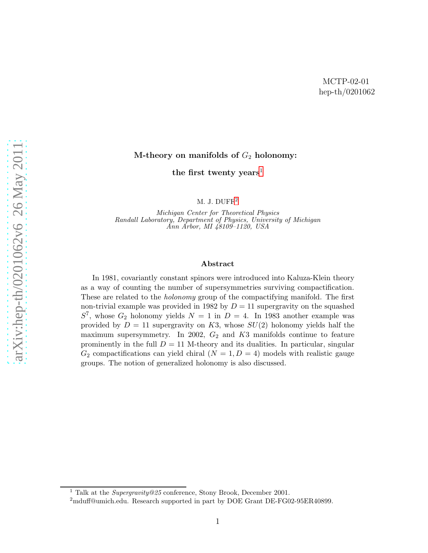#### M-theory on manifolds of  $G_2$  holonomy:

the first twenty years<sup>[1](#page-0-0)</sup>

M. J. DUFF<sup>[2](#page-0-1)</sup>

Michigan Center for Theoretical Physics Randall Laboratory, Department of Physics, University of Michigan Ann Arbor, MI 48109–1120, USA

#### Abstract

In 1981, covariantly constant spinors were introduced into Kaluza-Klein theory as a way of counting the number of supersymmetries surviving compactification. These are related to the holonomy group of the compactifying manifold. The first non-trivial example was provided in 1982 by  $D = 11$  supergravity on the squashed  $S^7$ , whose  $G_2$  holonomy yields  $N = 1$  in  $D = 4$ . In 1983 another example was provided by  $D = 11$  supergravity on K3, whose  $SU(2)$  holonomy yields half the maximum supersymmetry. In 2002,  $G_2$  and  $K3$  manifolds continue to feature prominently in the full  $D = 11$  M-theory and its dualities. In particular, singular  $G_2$  compactifications can yield chiral  $(N = 1, D = 4)$  models with realistic gauge groups. The notion of generalized holonomy is also discussed.

<span id="page-0-1"></span><span id="page-0-0"></span>

 $^1$  Talk at the  $Supergravity@25$  conference, Stony Brook, December 2001.  $^2$ mduff@umich.edu. Research supported in part by DOE Grant DE-FG02-95ER40899.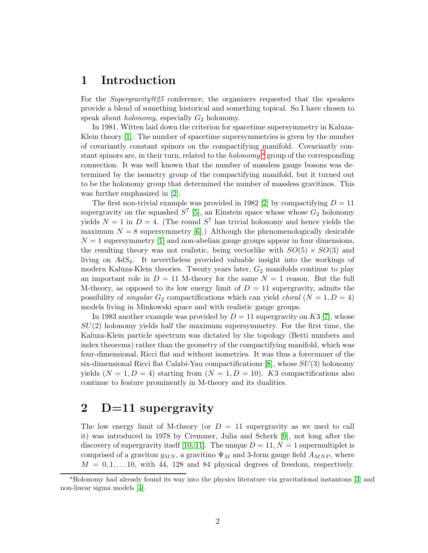#### 1 Introduction

For the Supergravity@25 conference, the organizers requested that the speakers provide a blend of something historical and something topical. So I have chosen to speak about *holonomy*, especially  $G_2$  holonomy.

In 1981, Witten laid down the criterion for spacetime supersymmetry in Kaluza-Klein theory [\[1\]](#page-13-0). The number of spacetime supersymmetries is given by the number of covariantly constant spinors on the compactifying manifold. Covariantly const[a](#page-1-0)nt spinors are, in their turn, related to the *holonomy*  $^{\rm a}$  group of the corresponding connection. It was well known that the number of massless gauge bosons was determined by the isometry group of the compactifying manifold, but it turned out to be the holonomy group that determined the number of massless gravitinos. This was further emphasized in [\[2\]](#page-13-1).

The first non-trivial example was provided in 1982 [\[2\]](#page-13-1) by compactifying  $D = 11$ supergravity on the squashed  $S^7$  [\[5\]](#page-13-2), an Einstein space whose whose  $G_2$  holonomy yields  $N = 1$  in  $D = 4$ . (The round  $S<sup>7</sup>$  has trivial holonomy and hence yields the maximum  $N = 8$  supersymmetry [\[6\]](#page-13-3).) Although the phenomenologically desirable  $N = 1$  supersymmetry [\[1\]](#page-13-0) and non-abelian gauge groups appear in four dimensions, the resulting theory was not realistic, being vectorlike with  $SO(5) \times SO(3)$  and living on AdS4. It nevertheless provided valuable insight into the workings of modern Kaluza-Klein theories. Twenty years later,  $G_2$  manifolds continue to play an important role in  $D = 11$  M-theory for the same  $N = 1$  reason. But the full M-theory, as opposed to its low energy limit of  $D = 11$  supergravity, admits the possibility of *singular*  $G_2$  compactifications which can yield *chiral*  $(N = 1, D = 4)$ models living in Minkowski space and with realistic gauge groups.

In 1983 another example was provided by  $D = 11$  supergravity on K3 [\[7\]](#page-13-4), whose  $SU(2)$  holonomy yields half the maximum supersymmetry. For the first time, the Kaluza-Klein particle spectrum was dictated by the topology (Betti numbers and index theorems) rather than the geometry of the compactifying manifold, which was four-dimensional, Ricci flat and without isometries. It was thus a forerunner of the six-dimensional Ricci flat Calabi-Yau compactifications  $[8]$ , whose  $SU(3)$  holonomy yields  $(N = 1, D = 4)$  starting from  $(N = 1, D = 10)$ . K3 compactifications also continue to feature prominently in M-theory and its dualities.

#### 2 D=11 supergravity

The low energy limit of M-theory (or  $D = 11$  supergravity as we used to call it) was introduced in 1978 by Cremmer, Julia and Scherk [\[9\]](#page-13-6), not long after the discovery of supergravity itself [\[10,](#page-13-7) [11\]](#page-13-8). The unique  $D = 11$ ,  $N = 1$  supermultiplet is comprised of a graviton  $g_{MN}$ , a gravitino  $\Psi_M$  and 3-form gauge field  $A_{MNP}$ , where  $M = 0, 1, \ldots 10$ , with 44, 128 and 84 physical degrees of freedom, respectively.

<span id="page-1-0"></span><sup>&</sup>lt;sup>a</sup>Holonomy had already found its way into the physics literature via gravitational instantons [\[3\]](#page-13-9) and non-linear sigma models [\[4\]](#page-13-10).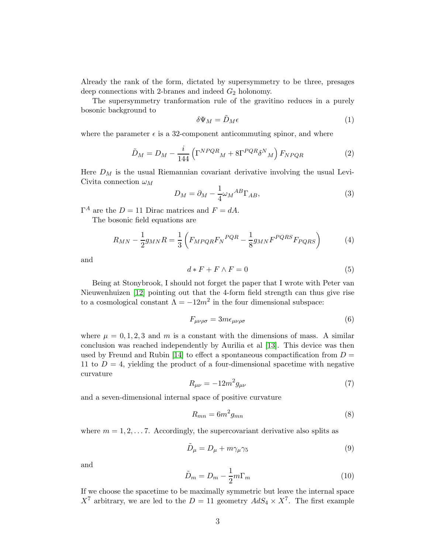Already the rank of the form, dictated by supersymmetry to be three, presages deep connections with 2-branes and indeed  $G_2$  holonomy.

The supersymmetry tranformation rule of the gravitino reduces in a purely bosonic background to

$$
\delta\Psi_M = \tilde{D}_M \epsilon \tag{1}
$$

where the parameter  $\epsilon$  is a 32-component anticommuting spinor, and where

<span id="page-2-0"></span>
$$
\tilde{D}_M = D_M - \frac{i}{144} \left( \Gamma^{NPQR} M + 8 \Gamma^{PQR} \delta^N M \right) F_{NPQR} \tag{2}
$$

Here  $D_M$  is the usual Riemannian covariant derivative involving the usual Levi-Civita connection  $\omega_M$ 

$$
D_M = \partial_M - \frac{1}{4} \omega_M{}^{AB} \Gamma_{AB},\tag{3}
$$

 $\Gamma^A$  are the  $D = 11$  Dirac matrices and  $F = dA$ .

The bosonic field equations are

$$
R_{MN} - \frac{1}{2}g_{MN}R = \frac{1}{3}\left(F_{MPQR}F_N^{PQR} - \frac{1}{8}g_{MN}F^{PQRS}F_{PQRS}\right) \tag{4}
$$

and

$$
d * F + F \wedge F = 0 \tag{5}
$$

Being at Stonybrook, I should not forget the paper that I wrote with Peter van Nieuwenhuizen [\[12\]](#page-13-11) pointing out that the 4-form field strength can thus give rise to a cosmological constant  $\Lambda = -12m^2$  in the four dimensional subspace:

$$
F_{\mu\nu\rho\sigma} = 3m\epsilon_{\mu\nu\rho\sigma} \tag{6}
$$

where  $\mu = 0, 1, 2, 3$  and m is a constant with the dimensions of mass. A similar conclusion was reached independently by Aurilia et al [\[13\]](#page-13-12). This device was then used by Freund and Rubin [\[14\]](#page-13-13) to effect a spontaneous compactification from  $D =$ 11 to  $D = 4$ , yielding the product of a four-dimensional spacetime with negative curvature

$$
R_{\mu\nu} = -12m^2 g_{\mu\nu} \tag{7}
$$

and a seven-dimensional internal space of positive curvature

$$
R_{mn} = 6m^2 g_{mn} \tag{8}
$$

where  $m = 1, 2, \ldots, 7$ . Accordingly, the supercovariant derivative also splits as

$$
\tilde{D}_{\mu} = D_{\mu} + m\gamma_{\mu}\gamma_5 \tag{9}
$$

and

$$
\tilde{D}_m = D_m - \frac{1}{2}m\Gamma_m \tag{10}
$$

If we choose the spacetime to be maximally symmetric but leave the internal space  $X^7$  arbitrary, we are led to the  $D = 11$  geometry  $AdS_4 \times X^7$ . The first example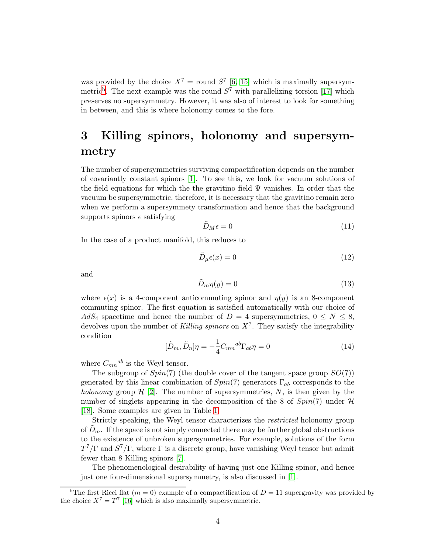was provided by the choice  $X^7$  = round  $S^7$  [\[6,](#page-13-3) [15\]](#page-13-14) which is maximally supersymmetric<sup>[b](#page-3-0)</sup>. The next example was the round  $S^7$  with parallelizing torsion [\[17\]](#page-13-15) which preserves no supersymmetry. However, it was also of interest to look for something in between, and this is where holonomy comes to the fore.

# 3 Killing spinors, holonomy and supersymmetry

The number of supersymmetries surviving compactification depends on the number of covariantly constant spinors [\[1\]](#page-13-0). To see this, we look for vacuum solutions of the field equations for which the the gravitino field  $\Psi$  vanishes. In order that the vacuum be supersymmetric, therefore, it is necessary that the gravitino remain zero when we perform a supersymmety transformation and hence that the background supports spinors  $\epsilon$  satisfying

$$
\tilde{D}_M \epsilon = 0 \tag{11}
$$

In the case of a product manifold, this reduces to

$$
\tilde{D}_{\mu}\epsilon(x) = 0\tag{12}
$$

and

$$
\tilde{D}_m \eta(y) = 0 \tag{13}
$$

where  $\epsilon(x)$  is a 4-component anticommuting spinor and  $\eta(y)$  is an 8-component commuting spinor. The first equation is satisfied automatically with our choice of AdS<sub>4</sub> spacetime and hence the number of  $D = 4$  supersymmetries,  $0 \le N \le 8$ , devolves upon the number of Killing spinors on  $X<sup>7</sup>$ . They satisfy the integrability condition

<span id="page-3-1"></span>
$$
[\tilde{D}_m, \tilde{D}_n]\eta = -\frac{1}{4}C_{mn}{}^{ab}\Gamma_{ab}\eta = 0\tag{14}
$$

where  $C_{mn}{}^{ab}$  is the Weyl tensor.

The subgroup of  $Spin(7)$  (the double cover of the tangent space group  $SO(7)$ ) generated by this linear combination of  $Spin(7)$  generators  $\Gamma_{ab}$  corresponds to the holonomy group  $\mathcal{H}$  [\[2\]](#page-13-1). The number of supersymmetries, N, is then given by the number of singlets appearing in the decomposition of the 8 of  $Spin(7)$  under  $H$ [\[18\]](#page-13-16). Some examples are given in Table [1.](#page-4-0)

Strictly speaking, the Weyl tensor characterizes the restricted holonomy group of  $D_m$ . If the space is not simply connected there may be further global obstructions to the existence of unbroken supersymmetries. For example, solutions of the form  $T^7/\Gamma$  and  $S^7/\Gamma$ , where  $\Gamma$  is a discrete group, have vanishing Weyl tensor but admit fewer than 8 Killing spinors [\[7\]](#page-13-4).

The phenomenological desirability of having just one Killing spinor, and hence just one four-dimensional supersymmetry, is also discussed in [\[1\]](#page-13-0).

<span id="page-3-0"></span><sup>&</sup>lt;sup>b</sup>The first Ricci flat  $(m = 0)$  example of a compactification of  $D = 11$  supergravity was provided by the choice  $X^7 = T^7$  [\[16\]](#page-13-17) which is also maximally supersymmetric.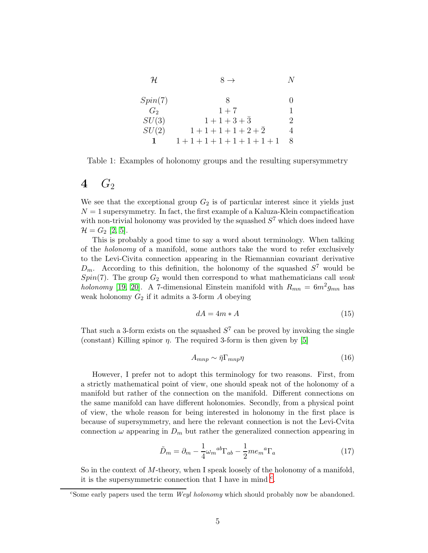| $\mathcal H$ | $8 \rightarrow$             |   |
|--------------|-----------------------------|---|
| Spin(7)      | $\mathcal{R}_{\mathcal{A}}$ |   |
| $G_2$        | $1 + 7$                     |   |
| SU(3)        | $1+1+3+\bar{3}$             | 2 |
| SU(2)        | $1+1+1+1+2+\overline{2}$    | 4 |
|              | $1+1+1+1+1+1+1+1$           | 8 |

<span id="page-4-0"></span>Table 1: Examples of holonomy groups and the resulting supersymmetry

#### <span id="page-4-5"></span> $4\quad G_2$

We see that the exceptional group  $G_2$  is of particular interest since it yields just  $N = 1$  supersymmetry. In fact, the first example of a Kaluza-Klein compactification with non-trivial holonomy was provided by the squashed  $S<sup>7</sup>$  which does indeed have  $\mathcal{H} = G_2$  [\[2,](#page-13-1) [5\]](#page-13-2).

This is probably a good time to say a word about terminology. When talking of the holonomy of a manifold, some authors take the word to refer exclusively to the Levi-Civita connection appearing in the Riemannian covariant derivative  $D_m$ . According to this definition, the holonomy of the squashed  $S^7$  would be Spin(7). The group  $G_2$  would then correspond to what mathematicians call weak holonomy [\[19,](#page-14-0) [20\]](#page-14-1). A 7-dimensional Einstein manifold with  $R_{mn} = 6m^2g_{mn}$  has weak holonomy  $G_2$  if it admits a 3-form A obeying

<span id="page-4-4"></span>
$$
dA = 4m * A \tag{15}
$$

That such a 3-form exists on the squashed  $S<sup>7</sup>$  can be proved by invoking the single (constant) Killing spinor  $\eta$ . The required 3-form is then given by [\[5\]](#page-13-2)

<span id="page-4-3"></span>
$$
A_{mnp} \sim \bar{\eta} \Gamma_{mnp} \eta \tag{16}
$$

However, I prefer not to adopt this terminology for two reasons. First, from a strictly mathematical point of view, one should speak not of the holonomy of a manifold but rather of the connection on the manifold. Different connections on the same manifold can have different holonomies. Secondly, from a physical point of view, the whole reason for being interested in holonomy in the first place is because of supersymmetry, and here the relevant connection is not the Levi-Cvita connection  $\omega$  appearing in  $D_m$  but rather the generalized connection appearing in

<span id="page-4-2"></span>
$$
\tilde{D}_m = \partial_m - \frac{1}{4} \omega_m{}^{ab} \Gamma_{ab} - \frac{1}{2} m e_m{}^a \Gamma_a \tag{17}
$$

So in the context of M-theory, when I speak loosely of the holonomy of a manifold, it is the supersymmetri[c](#page-4-1) connection that I have in mind  $c$ .

<span id="page-4-1"></span><sup>&</sup>lt;sup>c</sup>Some early papers used the term *Weyl holonomy* which should probably now be abandoned.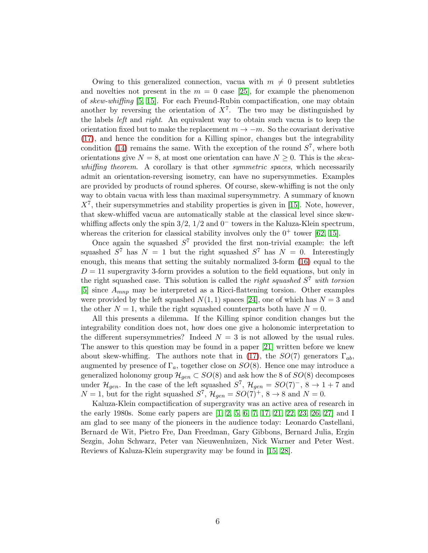Owing to this generalized connection, vacua with  $m \neq 0$  present subtleties and novelties not present in the  $m = 0$  case [\[25\]](#page-14-2), for example the phenomenon of skew-whiffing [\[5,](#page-13-2) [15\]](#page-13-14). For each Freund-Rubin compactification, one may obtain another by reversing the orientation of  $X<sup>7</sup>$ . The two may be distinguished by the labels left and right. An equivalent way to obtain such vacua is to keep the orientation fixed but to make the replacement  $m \to -m$ . So the covariant derivative [\(17\)](#page-4-2), and hence the condition for a Killing spinor, changes but the integrability condition [\(14\)](#page-3-1) remains the same. With the exception of the round  $S^7$ , where both orientations give  $N = 8$ , at most one orientation can have  $N \geq 0$ . This is the skewwhiffing theorem. A corollary is that other *symmetric spaces*, which necessarily admit an orientation-reversing isometry, can have no supersymmeties. Examples are provided by products of round spheres. Of course, skew-whiffing is not the only way to obtain vacua with less than maximal supersymmetry. A summary of known  $X<sup>7</sup>$ , their supersymmetries and stability properties is given in [\[15\]](#page-13-14). Note, however, that skew-whiffed vacua are automatically stable at the classical level since skewwhiffing affects only the spin  $3/2$ ,  $1/2$  and  $0^-$  towers in the Kaluza-Klein spectrum, whereas the criterion for classical stability involves only the  $0^+$  tower [\[62,](#page-16-0) [15\]](#page-13-14).

Once again the squashed  $S<sup>7</sup>$  provided the first non-trivial example: the left squashed  $S^7$  has  $N = 1$  but the right squashed  $S^7$  has  $N = 0$ . Interestingly enough, this means that setting the suitably normalized 3-form [\(16\)](#page-4-3) equal to the  $D = 11$  supergravity 3-form provides a solution to the field equations, but only in the right squashed case. This solution is called the *right squashed*  $S^7$  with torsion [\[5\]](#page-13-2) since  $A_{mnp}$  may be interpreted as a Ricci-flattening torsion. Other examples were provided by the left squashed  $N(1, 1)$  spaces [\[24\]](#page-14-3), one of which has  $N = 3$  and the other  $N = 1$ , while the right squashed counterparts both have  $N = 0$ .

All this presents a dilemma. If the Killing spinor condition changes but the integrability condition does not, how does one give a holonomic interpretation to the different supersymmetries? Indeed  $N = 3$  is not allowed by the usual rules. The answer to this question may be found in a paper [\[21\]](#page-14-4) written before we knew about skew-whiffing. The authors note that in [\(17\)](#page-4-2), the  $SO(7)$  generators  $\Gamma_{ab}$ , augmented by presence of  $\Gamma_a$ , together close on  $SO(8)$ . Hence one may introduce a generalized holonomy group  $\mathcal{H}_{gen} \subset SO(8)$  and ask how the 8 of  $SO(8)$  decomposes under  $\mathcal{H}_{gen}$ . In the case of the left squashed  $S^7$ ,  $\mathcal{H}_{gen} = SO(7)^{-}$ ,  $8 \rightarrow 1+7$  and  $N = 1$ , but for the right squashed  $S^7$ ,  $\mathcal{H}_{gen} = SO(7)^+$ ,  $8 \rightarrow 8$  and  $N = 0$ .

Kaluza-Klein compactification of supergravity was an active area of research in the early 1980s. Some early papers are [\[1,](#page-13-0) [2,](#page-13-1) [5,](#page-13-2) [6,](#page-13-3) [7,](#page-13-4) [17,](#page-13-15) [21,](#page-14-4) [22,](#page-14-5) [23,](#page-14-6) [26,](#page-14-7) [27\]](#page-14-8) and I am glad to see many of the pioneers in the audience today: Leonardo Castellani, Bernard de Wit, Pietro Fre, Dan Freedman, Gary Gibbons, Bernard Julia, Ergin Sezgin, John Schwarz, Peter van Nieuwenhuizen, Nick Warner and Peter West. Reviews of Kaluza-Klein supergravity may be found in [\[15,](#page-13-14) [28\]](#page-14-9).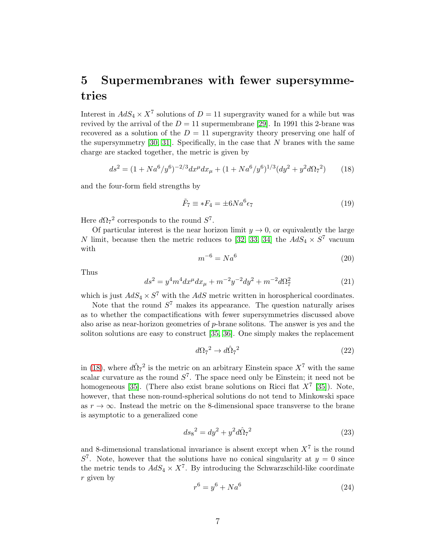## 5 Supermembranes with fewer supersymmetries

Interest in  $AdS_4 \times X^7$  solutions of  $D = 11$  supergravity waned for a while but was revived by the arrival of the  $D = 11$  supermembrane [\[29\]](#page-14-10). In 1991 this 2-brane was recovered as a solution of the  $D = 11$  supergravity theory preserving one half of the supersymmetry  $[30, 31]$  $[30, 31]$ . Specifically, in the case that N branes with the same charge are stacked together, the metric is given by

<span id="page-6-0"></span>
$$
ds^{2} = (1 + Na^{6}/y^{6})^{-2/3} dx^{\mu} dx_{\mu} + (1 + Na^{6}/y^{6})^{1/3} (dy^{2} + y^{2} d\Omega_{7}^{2})
$$
 (18)

and the four-form field strengths by

$$
\tilde{F}_7 \equiv *F_4 = \pm 6Na^6\epsilon_7\tag{19}
$$

Here  $d\Omega_7^2$  corresponds to the round  $S^7$ .

Of particular interest is the near horizon limit  $y \to 0$ , or equivalently the large N limit, because then the metric reduces to [\[32,](#page-14-13) [33,](#page-14-14) [34\]](#page-14-15) the  $AdS_4 \times S^7$  vacuum with

$$
m^{-6} = Na^6 \tag{20}
$$

Thus

$$
ds^{2} = y^{4}m^{4}dx^{\mu}dx_{\mu} + m^{-2}y^{-2}dy^{2} + m^{-2}d\Omega_{7}^{2}
$$
\n(21)

which is just  $AdS_4 \times S^7$  with the  $AdS$  metric written in horospherical coordinates.

Note that the round  $S<sup>7</sup>$  makes its appearance. The question naturally arises as to whether the compactifications with fewer supersymmetries discussed above also arise as near-horizon geometries of p-brane solitons. The answer is yes and the soliton solutions are easy to construct [\[35,](#page-14-16) [36\]](#page-14-17). One simply makes the replacement

$$
d\Omega_7{}^2 \to d\hat{\Omega}_7{}^2 \tag{22}
$$

in [\(18\)](#page-6-0), where  $d\hat{\Omega}_7^2$  is the metric on an arbitrary Einstein space  $X^7$  with the same scalar curvature as the round  $S^7$ . The space need only be Einstein; it need not be homogeneous [\[35\]](#page-14-16). (There also exist brane solutions on Ricci flat  $X<sup>7</sup>$  [\[35\]](#page-14-16)). Note, however, that these non-round-spherical solutions do not tend to Minkowski space as  $r \to \infty$ . Instead the metric on the 8-dimensional space transverse to the brane is asymptotic to a generalized cone

<span id="page-6-1"></span>
$$
ds_8{}^2 = dy^2 + y^2 d\hat{\Omega}_7{}^2 \tag{23}
$$

and 8-dimensional translational invariance is absent except when  $X<sup>7</sup>$  is the round  $S<sup>7</sup>$ . Note, however that the solutions have no conical singularity at  $y = 0$  since the metric tends to  $AdS_4 \times X^7$ . By introducing the Schwarzschild-like coordinate r given by

$$
r^6 = y^6 + Na^6 \tag{24}
$$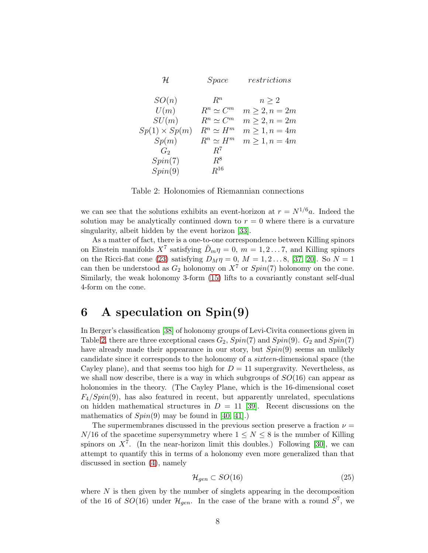| H                    | <i>Space</i>     | restrictions       |
|----------------------|------------------|--------------------|
| SO(n)                | $R^n$            | $n \geq 2$         |
| U(m)                 | $R^n \simeq C^m$ | $m \geq 2, n = 2m$ |
| SU(m)                | $R^n \simeq C^m$ | $m \geq 2, n = 2m$ |
| $Sp(1) \times Sp(m)$ | $R^n \simeq H^m$ | $m \geq 1, n = 4m$ |
| Sp(m)                | $R^n \simeq H^m$ | $m \geq 1, n = 4m$ |
| $G_2$                | $R^7$            |                    |
| Spin(7)              | $R^8$            |                    |
| Spin(9)              | $R^{16}$         |                    |

<span id="page-7-0"></span>Table 2: Holonomies of Riemannian connections

we can see that the solutions exhibits an event-horizon at  $r = N^{1/6}a$ . Indeed the solution may be analytically continued down to  $r = 0$  where there is a curvature singularity, albeit hidden by the event horizon [\[33\]](#page-14-14).

As a matter of fact, there is a one-to-one correspondence between Killing spinors on Einstein manifolds  $X^7$  satisfying  $\tilde{D}_m \eta = 0$ ,  $m = 1, 2...7$ , and Killing spinors on the Ricci-flat cone [\(23\)](#page-6-1) satisfying  $D_M \eta = 0$ ,  $M = 1, 2...8$ , [\[37,](#page-15-0) [20\]](#page-14-1). So  $N = 1$ can then be understood as  $G_2$  holonomy on  $X^7$  or  $Spin(7)$  holonomy on the cone. Similarly, the weak holonomy 3-form [\(15\)](#page-4-4) lifts to a covariantly constant self-dual 4-form on the cone.

## <span id="page-7-1"></span>6 A speculation on Spin(9)

In Berger's classification [\[38\]](#page-15-1) of holonomy groups of Levi-Civita connections given in Table [2,](#page-7-0) there are three exceptional cases  $G_2$ ,  $Spin(7)$  and  $Spin(9)$ .  $G_2$  and  $Spin(7)$ have already made their appearance in our story, but  $Spin(9)$  seems an unlikely candidate since it corresponds to the holonomy of a sixteen-dimensional space (the Cayley plane), and that seems too high for  $D = 11$  supergravity. Nevertheless, as we shall now describe, there is a way in which subgroups of  $SO(16)$  can appear as holonomies in the theory. (The Cayley Plane, which is the 16-dimensional coset  $F_4/Spin(9)$ , has also featured in recent, but apparently unrelated, speculations on hidden mathematical structures in  $D = 11$  [\[39\]](#page-15-2). Recent discussions on the mathematics of  $Spin(9)$  may be found in [\[40,](#page-15-3) [41\]](#page-15-4).)

The supermembranes discussed in the previous section preserve a fraction  $\nu =$  $N/16$  of the spacetime supersymmetry where  $1 \leq N \leq 8$  is the number of Killing spinors on  $X^7$ . (In the near-horizon limit this doubles.) Following [\[30\]](#page-14-11), we can attempt to quantify this in terms of a holonomy even more generalized than that discussed in section [\(4\)](#page-4-5), namely

$$
\mathcal{H}_{gen} \subset SO(16) \tag{25}
$$

where  $N$  is then given by the number of singlets appearing in the decomposition of the 16 of  $SO(16)$  under  $\mathcal{H}_{gen}$ . In the case of the brane with a round  $S^7$ , we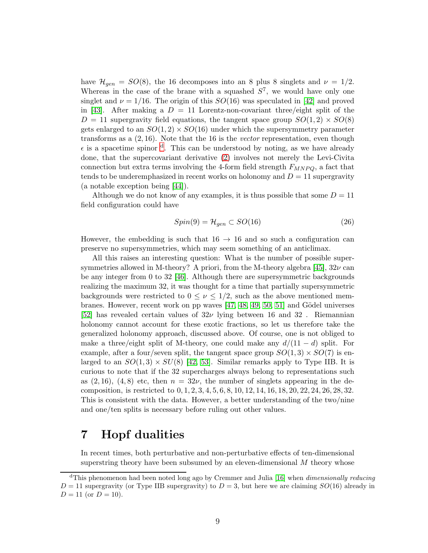have  $\mathcal{H}_{gen} = SO(8)$ , the 16 decomposes into an 8 plus 8 singlets and  $\nu = 1/2$ . Whereas in the case of the brane with a squashed  $S^7$ , we would have only one singlet and  $\nu = 1/16$ . The origin of this  $SO(16)$  was speculated in [\[42\]](#page-15-5) and proved in [\[43\]](#page-15-6). After making a  $D = 11$  Lorentz-non-covariant three/eight split of the  $D = 11$  supergravity field equations, the tangent space group  $SO(1, 2) \times SO(8)$ gets enlarged to an  $SO(1,2) \times SO(16)$  under which the supersymmetry parameter transforms as a  $(2, 16)$ . Note that the 16 is the *vector* representation, even though  $\epsilon$  is a spacetime spinor <sup>[d](#page-8-0)</sup>. This can be understood by noting, as we have already done, that the supercovariant derivative [\(2\)](#page-2-0) involves not merely the Levi-Civita connection but extra terms involving the 4-form field strength  $F_{MNPQ}$ , a fact that tends to be underemphasized in recent works on holonomy and  $D = 11$  supergravity (a notable exception being [\[44\]](#page-15-7)).

Although we do not know of any examples, it is thus possible that some  $D = 11$ field configuration could have

$$
Spin(9) = \mathcal{H}_{gen} \subset SO(16) \tag{26}
$$

However, the embedding is such that  $16 \rightarrow 16$  and so such a configuration can preserve no supersymmetries, which may seem something of an anticlimax.

All this raises an interesting question: What is the number of possible super-symmetries allowed in M-theory? A priori, from the M-theory algebra [\[45\]](#page-15-8),  $32\nu$  can be any integer from 0 to 32 [\[46\]](#page-15-9). Although there are supersymmetric backgrounds realizing the maximum 32, it was thought for a time that partially supersymmetric backgrounds were restricted to  $0 \leq \nu \leq 1/2$ , such as the above mentioned membranes. However, recent work on pp waves  $[47, 48, 49, 50, 51]$  $[47, 48, 49, 50, 51]$  $[47, 48, 49, 50, 51]$  $[47, 48, 49, 50, 51]$  $[47, 48, 49, 50, 51]$  and Gödel universes [\[52\]](#page-15-15) has revealed certain values of  $32\nu$  lying between 16 and 32. Riemannian holonomy cannot account for these exotic fractions, so let us therefore take the generalized holonomy approach, discussed above. Of course, one is not obliged to make a three/eight split of M-theory, one could make any  $d/(11-d)$  split. For example, after a four/seven split, the tangent space group  $SO(1,3) \times SO(7)$  is enlarged to an  $SO(1,3) \times SU(8)$  [\[42,](#page-15-5) [53\]](#page-15-16). Similar remarks apply to Type IIB. It is curious to note that if the 32 supercharges always belong to representations such as (2, 16), (4, 8) etc, then  $n = 32\nu$ , the number of singlets appearing in the decomposition, is restricted to 0, 1, 2, 3, 4, 5, 6, 8, 10, 12, 14, 16, 18, 20, 22, 24, 26, 28, 32. This is consistent with the data. However, a better understanding of the two/nine and one/ten splits is necessary before ruling out other values.

## 7 Hopf dualities

In recent times, both perturbative and non-perturbative effects of ten-dimensional superstring theory have been subsumed by an eleven-dimensional  $M$  theory whose

<span id="page-8-0"></span><sup>&</sup>lt;sup>d</sup>This phenomenon had been noted long ago by Cremmer and Julia [\[16\]](#page-13-17) when *dimensionally reducing*  $D = 11$  supergravity (or Type IIB supergravity) to  $D = 3$ , but here we are claiming  $SO(16)$  already in  $D = 11$  (or  $D = 10$ ).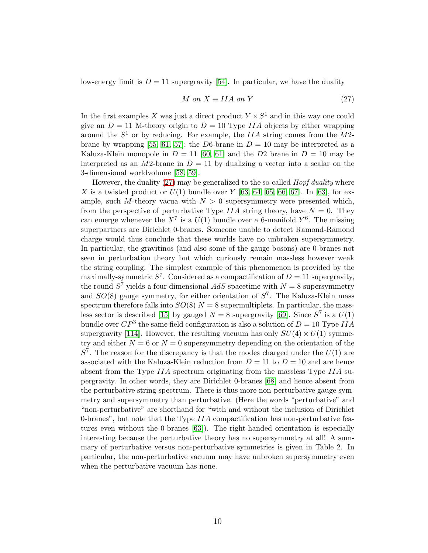low-energy limit is  $D = 11$  supergravity [\[54\]](#page-15-17). In particular, we have the duality

<span id="page-9-0"></span>
$$
M \text{ on } X \equiv IIA \text{ on } Y \tag{27}
$$

In the first examples X was just a direct product  $Y \times S^1$  and in this way one could give an  $D = 11$  M-theory origin to  $D = 10$  Type *IIA* objects by either wrapping around the  $S^1$  or by reducing. For example, the IIA string comes from the M2-brane by wrapping [\[55,](#page-15-18) [61,](#page-16-1) [57\]](#page-16-2); the D6-brane in  $D = 10$  may be interpreted as a Kaluza-Klein monopole in  $D = 11$  [\[60,](#page-16-3) [61\]](#page-16-1) and the D2 brane in  $D = 10$  may be interpreted as an M2-brane in  $D = 11$  by dualizing a vector into a scalar on the 3-dimensional worldvolume [\[58,](#page-16-4) [59\]](#page-16-5).

However, the duality  $(27)$  may be generalized to the so-called *Hopf duality* where X is a twisted product or  $U(1)$  bundle over Y [\[63,](#page-16-6) [64,](#page-16-7) [65,](#page-16-8) [66,](#page-16-9) [67\]](#page-16-10). In [\[63\]](#page-16-6), for example, such M-theory vacua with  $N > 0$  supersymmetry were presented which, from the perspective of perturbative Type IIA string theory, have  $N = 0$ . They can emerge whenever the  $X^7$  is a  $U(1)$  bundle over a 6-manifold  $Y^6$ . The missing superpartners are Dirichlet 0-branes. Someone unable to detect Ramond-Ramond charge would thus conclude that these worlds have no unbroken supersymmetry. In particular, the gravitinos (and also some of the gauge bosons) are 0-branes not seen in perturbation theory but which curiously remain massless however weak the string coupling. The simplest example of this phenomenon is provided by the maximally-symmetric  $S^7$ . Considered as a compactification of  $D = 11$  supergravity, the round  $S^7$  yields a four dimensional  $AdS$  spacetime with  $N = 8$  supersymmetry and  $SO(8)$  gauge symmetry, for either orientation of  $S<sup>7</sup>$ . The Kaluza-Klein mass spectrum therefore falls into  $SO(8)$   $N = 8$  supermultiplets. In particular, the mass-less sector is described [\[15\]](#page-13-14) by gauged  $N = 8$  supergravity [\[69\]](#page-16-11). Since  $S^7$  is a  $U(1)$ bundle over  $\mathbb{CP}^3$  the same field configuration is also a solution of  $D = 10$  Type IIA supergravity [\[114\]](#page-18-0). However, the resulting vacuum has only  $SU(4) \times U(1)$  symmetry and either  $N = 6$  or  $N = 0$  supersymmetry depending on the orientation of the  $S<sup>7</sup>$ . The reason for the discrepancy is that the modes charged under the  $U(1)$  are associated with the Kaluza-Klein reduction from  $D = 11$  to  $D = 10$  and are hence absent from the Type  $IIA$  spectrum originating from the massless Type  $IIA$  supergravity. In other words, they are Dirichlet 0-branes [\[68\]](#page-16-12) and hence absent from the perturbative string spectrum. There is thus more non-perturbative gauge symmetry and supersymmetry than perturbative. (Here the words "perturbative" and "non-perturbative" are shorthand for "with and without the inclusion of Dirichlet 0-branes", but note that the Type IIA compactification has non-perturbative features even without the 0-branes [\[63\]](#page-16-6)). The right-handed orientation is especially interesting because the perturbative theory has no supersymmetry at all! A summary of perturbative versus non-perturbative symmetries is given in Table 2. In particular, the non-perturbative vacuum may have unbroken supersymmetry even when the perturbative vacuum has none.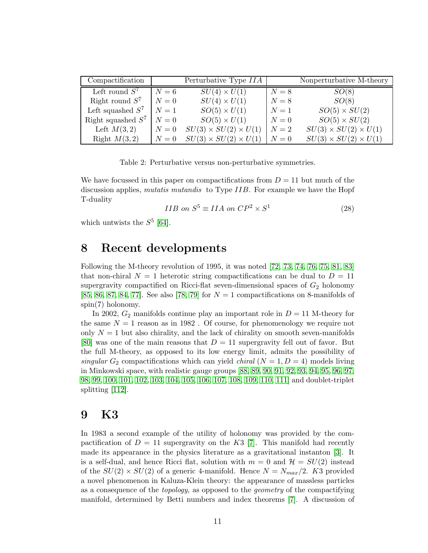| Compactification     |       | Perturbative Type IIA            |       | Nonperturbative M-theory         |
|----------------------|-------|----------------------------------|-------|----------------------------------|
| Left round $S^7$     | $N=6$ | $SU(4) \times U(1)$              | $N=8$ | SO(8)                            |
| Right round $S^7$    | $N=0$ | $SU(4) \times U(1)$              | $N=8$ | SO(8)                            |
| Left squashed $S^7$  | $N=1$ | $SO(5) \times U(1)$              | $N=1$ | $SO(5) \times SU(2)$             |
| Right squashed $S^7$ | $N=0$ | $SO(5) \times U(1)$              | $N=0$ | $SO(5) \times SU(2)$             |
| Left $M(3,2)$        | $N=0$ | $SU(3) \times SU(2) \times U(1)$ | $N=2$ | $SU(3) \times SU(2) \times U(1)$ |
| Right $M(3,2)$       | $N=0$ | $SU(3) \times SU(2) \times U(1)$ | $N=0$ | $SU(3) \times SU(2) \times U(1)$ |

Table 2: Perturbative versus non-perturbative symmetries.

We have focussed in this paper on compactifications from  $D = 11$  but much of the discussion applies, *mutatis mutandis* to Type *IIB*. For example we have the Hopf T-duality

$$
IIB \text{ on } S^5 \equiv IIA \text{ on } CP^2 \times S^1 \tag{28}
$$

which untwists the  $S^5$  [\[64\]](#page-16-7).

#### 8 Recent developments

Following the M-theory revolution of 1995, it was noted [\[72,](#page-16-13) [73,](#page-16-14) [74,](#page-16-15) [76,](#page-17-0) [75,](#page-16-16) [81,](#page-17-1) [83\]](#page-17-2) that non-chiral  $N = 1$  heterotic string compactifications can be dual to  $D = 11$ supergravity compactified on Ricci-flat seven-dimensional spaces of  $G_2$  holonomy [\[85,](#page-17-3) [86,](#page-17-4) [87,](#page-17-5) [84,](#page-17-6) [77\]](#page-17-7). See also [\[78,](#page-17-8) [79\]](#page-17-9) for  $N = 1$  compactifications on 8-manifolds of spin(7) holonomy.

In 2002,  $G_2$  manifolds continue play an important role in  $D = 11$  M-theory for the same  $N = 1$  reason as in 1982. Of course, for phenomenology we require not only  $N = 1$  but also chirality, and the lack of chirality on smooth seven-manifolds [\[80\]](#page-17-10) was one of the main reasons that  $D = 11$  supergravity fell out of favor. But the full M-theory, as opposed to its low energy limit, admits the possibility of singular  $G_2$  compactifications which can yield *chiral*  $(N = 1, D = 4)$  models living in Minkowski space, with realistic gauge groups [\[88,](#page-17-11) [89,](#page-17-12) [90,](#page-17-13) [91,](#page-17-14) [92,](#page-17-15) [93,](#page-17-16) [94,](#page-17-17) [95,](#page-17-18) [96,](#page-18-1) [97,](#page-18-2) [98,](#page-18-3) [99,](#page-18-4) [100,](#page-18-5) [101,](#page-18-6) [102,](#page-18-7) [103,](#page-18-8) [104,](#page-18-9) [105,](#page-18-10) [106,](#page-18-11) [107,](#page-18-12) [108,](#page-18-13) [109,](#page-18-14) [110,](#page-18-15) [111\]](#page-18-16) and doublet-triplet splitting [\[112\]](#page-18-17).

#### 9 K3

In 1983 a second example of the utility of holonomy was provided by the compactification of  $D = 11$  supergravity on the K3 [\[7\]](#page-13-4). This manifold had recently made its appearance in the physics literature as a gravitational instanton [\[3\]](#page-13-9). It is a self-dual, and hence Ricci flat, solution with  $m = 0$  and  $\mathcal{H} = SU(2)$  instead of the  $SU(2) \times SU(2)$  of a generic 4-manifold. Hence  $N = N_{max}/2$ . K3 provided a novel phenomenon in Kaluza-Klein theory: the appearance of massless particles as a consequence of the topology, as opposed to the geometry of the compactifying manifold, determined by Betti numbers and index theorems [\[7\]](#page-13-4). A discussion of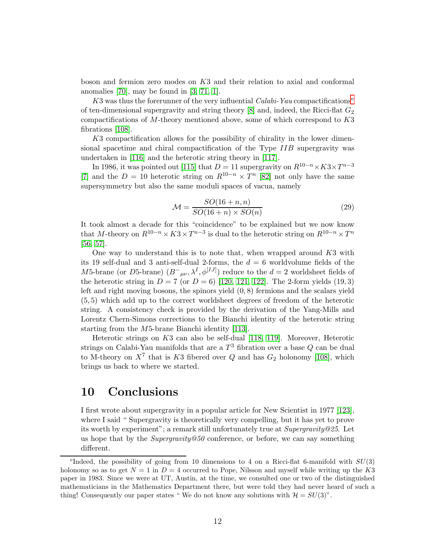boson and fermion zero modes on K3 and their relation to axial and conformal anomalies  $[70]$ , may be found in  $[3, 71, 1]$  $[3, 71, 1]$  $[3, 71, 1]$ .

K3 was thus th[e](#page-11-0) forerunner of the very influential  $Calabi-Yau$  compactifications<sup>e</sup> of ten-dimensional supergravity and string theory  $[8]$  and, indeed, the Ricci-flat  $G_2$ compactifications of  $M$ -theory mentioned above, some of which correspond to  $K3$ fibrations [\[108\]](#page-18-13).

K3 compactification allows for the possibility of chirality in the lower dimensional spacetime and chiral compactification of the Type IIB supergravity was undertaken in [\[116\]](#page-19-0) and the heterotic string theory in [\[117\]](#page-19-1).

In 1986, it was pointed out [\[115\]](#page-19-2) that  $D = 11$  supergravity on  $R^{10-n} \times K3 \times T^{n-3}$ [\[7\]](#page-13-4) and the  $D = 10$  heterotic string on  $R^{10-n} \times T^n$  [\[82\]](#page-17-19) not only have the same supersymmetry but also the same moduli spaces of vacua, namely

$$
\mathcal{M} = \frac{SO(16+n, n)}{SO(16+n) \times SO(n)}\tag{29}
$$

It took almost a decade for this "coincidence" to be explained but we now know that M-theory on  $R^{10-n} \times K3 \times T^{n-3}$  is dual to the heterotic string on  $R^{10-n} \times T^n$ [\[56,](#page-16-19) [57\]](#page-16-2).

One way to understand this is to note that, when wrapped around  $K3$  with its 19 self-dual and 3 anti-self-dual 2-forms, the  $d = 6$  worldvolume fields of the M5-brane (or D5-brane)  $(B<sup>-</sup><sub>μν</sub>, \lambda<sup>I</sup>, \phi<sup>[IJ]</sup>)$  reduce to the  $d = 2$  worldsheet fields of the heterotic string in  $D = 7$  (or  $D = 6$ ) [\[120,](#page-19-3) [121,](#page-19-4) [122\]](#page-19-5). The 2-form yields (19,3) left and right moving bosons, the spinors yield  $(0, 8)$  fermions and the scalars yield (5, 5) which add up to the correct worldsheet degrees of freedom of the heterotic string. A consistency check is provided by the derivation of the Yang-Mills and Lorentz Chern-Simons corrections to the Bianchi identity of the heterotic string starting from the M5-brane Bianchi identity [\[113\]](#page-18-18).

Heterotic strings on K3 can also be self-dual [\[118,](#page-19-6) [119\]](#page-19-7). Moreover, Heterotic strings on Calabi-Yau manifolds that are a  $T^3$  fibration over a base  $Q$  can be dual to M-theory on  $X^7$  that is K3 fibered over Q and has  $G_2$  holonomy [\[108\]](#page-18-13), which brings us back to where we started.

#### 10 Conclusions

I first wrote about supergravity in a popular article for New Scientist in 1977 [\[123\]](#page-19-8), where I said " Supergravity is theoretically very compelling, but it has yet to prove its worth by experiment"; a remark still unfortunately true at Supergravity@25. Let us hope that by the  $Supergravity@50$  conference, or before, we can say something different.

<span id="page-11-0"></span><sup>&</sup>lt;sup>e</sup>Indeed, the possibility of going from 10 dimensions to 4 on a Ricci-flat 6-manifold with  $SU(3)$ holonomy so as to get  $N = 1$  in  $D = 4$  occurred to Pope, Nilsson and myself while writing up the K3 paper in 1983. Since we were at UT, Austin, at the time, we consulted one or two of the distinguished mathematicians in the Mathematics Department there, but were told they had never heard of such a thing! Consequently our paper states " We do not know any solutions with  $\mathcal{H} = SU(3)$ ".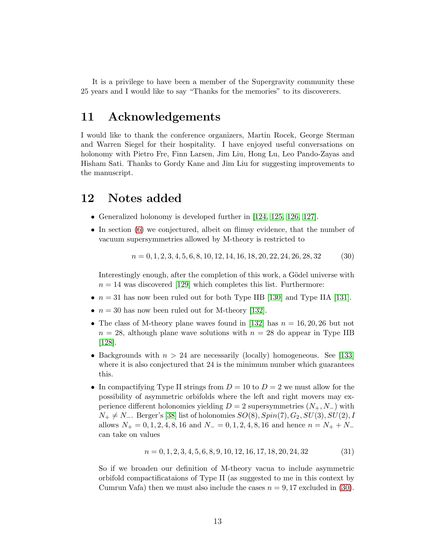It is a privilege to have been a member of the Supergravity community these 25 years and I would like to say "Thanks for the memories" to its discoverers.

#### 11 Acknowledgements

I would like to thank the conference organizers, Martin Rocek, George Sterman and Warren Siegel for their hospitality. I have enjoyed useful conversations on holonomy with Pietro Fre, Finn Larsen, Jim Liu, Hong Lu, Leo Pando-Zayas and Hisham Sati. Thanks to Gordy Kane and Jim Liu for suggesting improvements to the manuscript.

#### 12 Notes added

- Generalized holonomy is developed further in [\[124,](#page-19-9) [125,](#page-19-10) [126,](#page-19-11) [127\]](#page-19-12).
- In section [\(6\)](#page-7-1) we conjectured, albeit on flimsy evidence, that the number of vacuum supersymmetries allowed by M-theory is restricted to

<span id="page-12-0"></span>
$$
n = 0, 1, 2, 3, 4, 5, 6, 8, 10, 12, 14, 16, 18, 20, 22, 24, 26, 28, 32 \tag{30}
$$

Interestingly enough, after the completion of this work, a Gödel universe with  $n = 14$  was discovered [\[129\]](#page-19-13) which completes this list. Furthermore:

- $n = 31$  has now been ruled out for both Type IIB [\[130\]](#page-19-14) and Type IIA [\[131\]](#page-19-15).
- $n = 30$  has now been ruled out for M-theory [\[132\]](#page-19-16).
- The class of M-theory plane waves found in [\[132\]](#page-19-16) has  $n = 16, 20, 26$  but not  $n = 28$ , although plane wave solutions with  $n = 28$  do appear in Type IIB [\[128\]](#page-19-17).
- Backgrounds with  $n > 24$  are necessarily (locally) homogeneous. See [\[133\]](#page-20-0) where it is also conjectured that 24 is the minimum number which guarantees this.
- In compactifying Type II strings from  $D = 10$  to  $D = 2$  we must allow for the possibility of asymmetric orbifolds where the left and right movers may experience different holonomies yielding  $D = 2$  supersymmetries  $(N_+, N_-)$  with  $N_+ \neq N_-$ . Berger's [\[38\]](#page-15-1) list of holonomies  $SO(8), Spin(7), G_2, SU(3), SU(2), I$ allows  $N_+ = 0, 1, 2, 4, 8, 16$  and  $N_+ = 0, 1, 2, 4, 8, 16$  and hence  $n = N_+ + N_$ can take on values

$$
n = 0, 1, 2, 3, 4, 5, 6, 8, 9, 10, 12, 16, 17, 18, 20, 24, 32 \tag{31}
$$

So if we broaden our definition of M-theory vacua to include asymmetric orbifold compactificataions of Type II (as suggested to me in this context by Cumrun Vafa) then we must also include the cases  $n = 9,17$  excluded in [\(30\)](#page-12-0).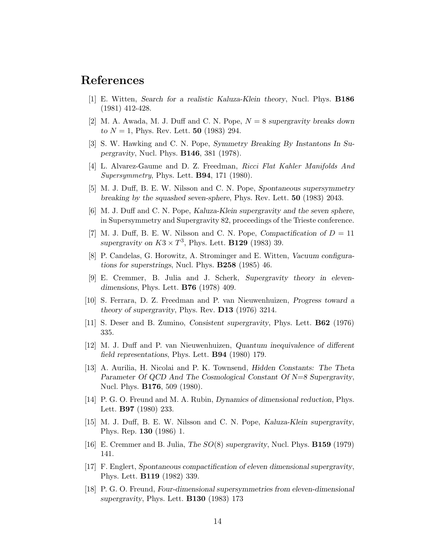## <span id="page-13-0"></span>References

- <span id="page-13-1"></span>[1] E. Witten, Search for a realistic Kaluza-Klein theory, Nucl. Phys. B186 (1981) 412-428.
- <span id="page-13-9"></span>[2] M. A. Awada, M. J. Duff and C. N. Pope,  $N = 8$  supergravity breaks down to  $N = 1$ , Phys. Rev. Lett. **50** (1983) 294.
- <span id="page-13-10"></span>[3] S. W. Hawking and C. N. Pope, Symmetry Breaking By Instantons In Supergravity, Nucl. Phys. B146, 381 (1978).
- <span id="page-13-2"></span>[4] L. Alvarez-Gaume and D. Z. Freedman, Ricci Flat Kahler Manifolds And Supersymmetry, Phys. Lett. B94, 171 (1980).
- <span id="page-13-3"></span>[5] M. J. Duff, B. E. W. Nilsson and C. N. Pope, Spontaneous supersymmetry breaking by the squashed seven-sphere, Phys. Rev. Lett. 50 (1983) 2043.
- <span id="page-13-4"></span>[6] M. J. Duff and C. N. Pope, Kaluza-Klein supergravity and the seven sphere, in Supersymmetry and Supergravity 82, proceedings of the Trieste conference.
- <span id="page-13-5"></span>[7] M. J. Duff, B. E. W. Nilsson and C. N. Pope, *Compactification of*  $D = 11$ supergravity on  $K3 \times T^3$ , Phys. Lett. **B129** (1983) 39.
- <span id="page-13-6"></span>[8] P. Candelas, G. Horowitz, A. Strominger and E. Witten, Vacuum configurations for superstrings, Nucl. Phys.  $B258$  (1985) 46.
- [9] E. Cremmer, B. Julia and J. Scherk, Supergravity theory in elevendimensions, Phys. Lett. B76 (1978) 409.
- <span id="page-13-8"></span><span id="page-13-7"></span>[10] S. Ferrara, D. Z. Freedman and P. van Nieuwenhuizen, Progress toward a theory of supergravity, Phys. Rev. D13 (1976) 3214.
- <span id="page-13-11"></span>[11] S. Deser and B. Zumino, Consistent supergravity, Phys. Lett. B62 (1976) 335.
- [12] M. J. Duff and P. van Nieuwenhuizen, Quantum inequivalence of different field representations, Phys. Lett. B94 (1980) 179.
- <span id="page-13-12"></span>[13] A. Aurilia, H. Nicolai and P. K. Townsend, Hidden Constants: The Theta Parameter Of QCD And The Cosmological Constant Of N=8 Supergravity, Nucl. Phys. B176, 509 (1980).
- <span id="page-13-13"></span>[14] P. G. O. Freund and M. A. Rubin, Dynamics of dimensional reduction, Phys. Lett. B97 (1980) 233.
- <span id="page-13-14"></span>[15] M. J. Duff, B. E. W. Nilsson and C. N. Pope, Kaluza-Klein supergravity, Phys. Rep. 130 (1986) 1.
- <span id="page-13-17"></span><span id="page-13-15"></span>[16] E. Cremmer and B. Julia, The SO(8) supergravity, Nucl. Phys. B159 (1979) 141.
- [17] F. Englert, Spontaneous compactification of eleven dimensional supergravity, Phys. Lett. B119 (1982) 339.
- <span id="page-13-16"></span>[18] P. G. O. Freund, Four-dimensional supersymmetries from eleven-dimensional supergravity, Phys. Lett. **B130** (1983) 173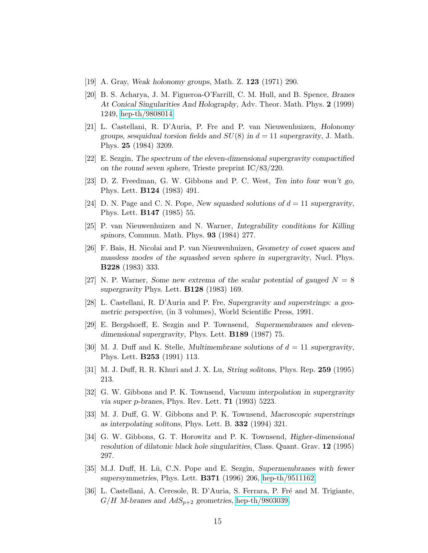- <span id="page-14-1"></span><span id="page-14-0"></span>[19] A. Gray, Weak holonomy groups, Math. Z. 123 (1971) 290.
- [20] B. S. Acharya, J. M. Figueroa-O'Farrill, C. M. Hull, and B. Spence, Branes At Conical Singularities And Holography, Adv. Theor. Math. Phys. 2 (1999) 1249, [hep-th/9808014.](http://arxiv.org/abs/hep-th/9808014)
- <span id="page-14-4"></span>[21] L. Castellani, R. D'Auria, P. Fre and P. van Nieuwenhuizen, Holonomy groups, sesquidual torsion fields and  $SU(8)$  in  $d=11$  supergravity, J. Math. Phys. 25 (1984) 3209.
- <span id="page-14-6"></span><span id="page-14-5"></span>[22] E. Sezgin, The spectrum of the eleven-dimensional supergravity compactified on the round seven sphere, Trieste preprint IC/83/220.
- [23] D. Z. Freedman, G. W. Gibbons and P. C. West, Ten into four won't go, Phys. Lett. B124 (1983) 491.
- <span id="page-14-3"></span><span id="page-14-2"></span>[24] D. N. Page and C. N. Pope, New squashed solutions of  $d = 11$  supergravity, Phys. Lett. B147 (1985) 55.
- <span id="page-14-7"></span>[25] P. van Nieuwenhuizen and N. Warner, Integrability conditions for Killing spinors, Commun. Math. Phys. 93 (1984) 277.
- [26] F. Bais, H. Nicolai and P. van Nieuwenhuizen, Geometry of coset spaces and massless modes of the squashed seven sphere in supergravity, Nucl. Phys. B228 (1983) 333.
- <span id="page-14-8"></span>[27] N. P. Warner, Some new extrema of the scalar potential of gauged  $N = 8$ supergravity Phys. Lett. B128 (1983) 169.
- <span id="page-14-10"></span><span id="page-14-9"></span>[28] L. Castellani, R. D'Auria and P. Fre, Supergravity and superstrings: a geometric perspective, (in 3 volumes), World Scientific Press, 1991.
- <span id="page-14-11"></span>[29] E. Bergshoeff, E. Sezgin and P. Townsend, Supermembranes and elevendimensional supergravity, Phys. Lett. **B189** (1987) 75.
- [30] M. J. Duff and K. Stelle, *Multimembrane solutions of*  $d = 11$  *supergravity*, Phys. Lett. B253 (1991) 113.
- <span id="page-14-13"></span><span id="page-14-12"></span>[31] M. J. Duff, R. R. Khuri and J. X. Lu, String solitons, Phys. Rep. 259 (1995) 213.
- [32] G. W. Gibbons and P. K. Townsend, Vacuum interpolation in supergravity via super p-branes, Phys. Rev. Lett. 71 (1993) 5223.
- <span id="page-14-14"></span>[33] M. J. Duff, G. W. Gibbons and P. K. Townsend, Macroscopic superstrings as interpolating solitons, Phys. Lett. B. 332 (1994) 321.
- <span id="page-14-15"></span>[34] G. W. Gibbons, G. T. Horowitz and P. K. Townsend, Higher-dimensional resolution of dilatonic black hole singularities, Class. Quant. Grav. 12 (1995) 297.
- <span id="page-14-16"></span>[35] M.J. Duff, H. Lü, C.N. Pope and E. Sezgin, Supermembranes with fewer supersymmetries, Phys. Lett. B371 (1996) 206, [hep-th/9511162.](http://arxiv.org/abs/hep-th/9511162)
- <span id="page-14-17"></span>[36] L. Castellani, A. Ceresole, R. D'Auria, S. Ferrara, P. Fré and M. Trigiante,  $G/H$  M-branes and  $AdS_{p+2}$  geometries, [hep-th/9803039.](http://arxiv.org/abs/hep-th/9803039)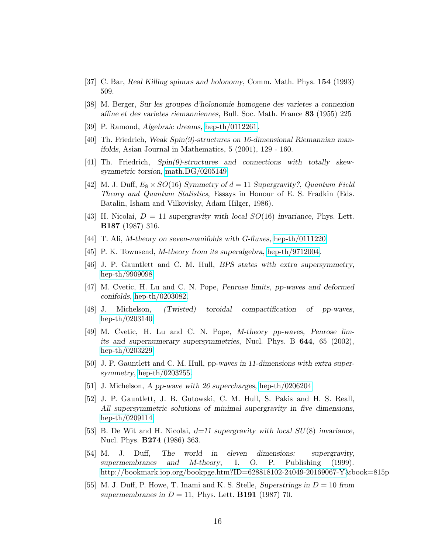- <span id="page-15-1"></span><span id="page-15-0"></span>[37] C. Bar, Real Killing spinors and holonomy, Comm. Math. Phys. 154 (1993) 509.
- <span id="page-15-2"></span>[38] M. Berger, Sur les groupes d'holonomie homogene des varietes a connexion affine et des varietes riemanniennes, Bull. Soc. Math. France 83 (1955) 225
- <span id="page-15-3"></span>[39] P. Ramond, Algebraic dreams, [hep-th/0112261.](http://arxiv.org/abs/hep-th/0112261)
- <span id="page-15-4"></span>[40] Th. Friedrich, Weak Spin(9)-structures on 16-dimensional Riemannian manifolds, Asian Journal in Mathematics, 5 (2001), 129 - 160.
- <span id="page-15-5"></span>[41] Th. Friedrich, Spin(9)-structures and connections with totally skewsymmetric torsion, [math.DG/0205149](http://arxiv.org/abs/math/0205149)
- [42] M. J. Duff,  $E_8 \times SO(16)$  Symmetry of  $d = 11$  Supergravity?, Quantum Field Theory and Quantum Statistics, Essays in Honour of E. S. Fradkin (Eds. Batalin, Isham and Vilkovisky, Adam Hilger, 1986).
- <span id="page-15-7"></span><span id="page-15-6"></span>[43] H. Nicolai,  $D = 11$  supergravity with local  $SO(16)$  invariance, Phys. Lett. B187 (1987) 316.
- <span id="page-15-8"></span>[44] T. Ali, M-theory on seven-manifolds with G-fluxes, [hep-th/0111220](http://arxiv.org/abs/hep-th/0111220)
- <span id="page-15-9"></span>[45] P. K. Townsend, M-theory from its superalgebra, [hep-th/9712004.](http://arxiv.org/abs/hep-th/9712004)
- <span id="page-15-10"></span>[46] J. P. Gauntlett and C. M. Hull, BPS states with extra supersymmetry, [hep-th/9909098.](http://arxiv.org/abs/hep-th/9909098)
- <span id="page-15-11"></span>[47] M. Cvetic, H. Lu and C. N. Pope, Penrose limits, pp-waves and deformed conifolds, [hep-th/0203082.](http://arxiv.org/abs/hep-th/0203082)
- <span id="page-15-12"></span>[48] J. Michelson, (Twisted) toroidal compactification of pp-waves, [hep-th/0203140](http://arxiv.org/abs/hep-th/0203140)
- [49] M. Cvetic, H. Lu and C. N. Pope, M-theory pp-waves, Penrose limits and supernumerary supersymmetries, Nucl. Phys. B 644, 65 (2002), [hep-th/0203229.](http://arxiv.org/abs/hep-th/0203229)
- <span id="page-15-14"></span><span id="page-15-13"></span>[50] J. P. Gauntlett and C. M. Hull, pp-waves in 11-dimensions with extra supersymmetry, [hep-th/0203255.](http://arxiv.org/abs/hep-th/0203255)
- <span id="page-15-15"></span>[51] J. Michelson, A pp-wave with 26 supercharges, [hep-th/0206204](http://arxiv.org/abs/hep-th/0206204)
- [52] J. P. Gauntlett, J. B. Gutowski, C. M. Hull, S. Pakis and H. S. Reall, All supersymmetric solutions of minimal supergravity in five dimensions, [hep-th/0209114.](http://arxiv.org/abs/hep-th/0209114)
- <span id="page-15-16"></span>[53] B. De Wit and H. Nicolai,  $d=11$  supergravity with local  $SU(8)$  invariance, Nucl. Phys. B274 (1986) 363.
- <span id="page-15-17"></span>[54] M. J. Duff, The world in eleven dimensions: supergravity, supermembranes and M-theory, I. O. P. Publishing (1999). [http://bookmark.iop.org/bookpge.htm?ID=628818102-24049-20169067-Y&](http://bookmark.iop.org/bookpge.htm?ID=628818102-24049-20169067-Y)book=815p
- <span id="page-15-18"></span>[55] M. J. Duff, P. Howe, T. Inami and K. S. Stelle, Superstrings in  $D = 10$  from supermembranes in  $D = 11$ , Phys. Lett. **B191** (1987) 70.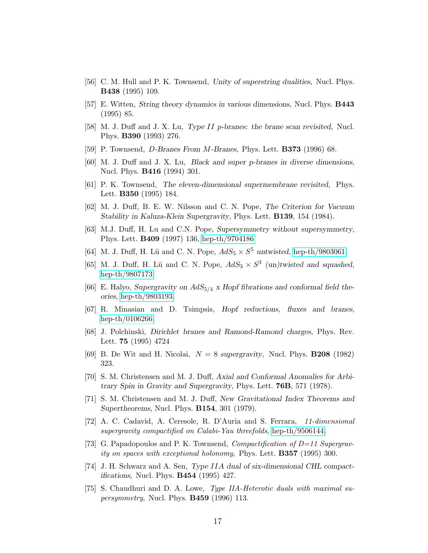- <span id="page-16-19"></span><span id="page-16-2"></span>[56] C. M. Hull and P. K. Townsend, Unity of superstring dualities, Nucl. Phys. B438 (1995) 109.
- <span id="page-16-4"></span>[57] E. Witten, String theory dynamics in various dimensions, Nucl. Phys. B443 (1995) 85.
- <span id="page-16-5"></span>[58] M. J. Duff and J. X. Lu, Type II p-branes: the brane scan revisited, Nucl. Phys. B390 (1993) 276.
- <span id="page-16-3"></span>[59] P. Townsend, D-Branes From M-Branes, Phys. Lett. B373 (1996) 68.
- <span id="page-16-1"></span>[60] M. J. Duff and J. X. Lu, Black and super p-branes in diverse dimensions, Nucl. Phys. B416 (1994) 301.
- <span id="page-16-0"></span>[61] P. K. Townsend, The eleven-dimensional supermembrane revisited, Phys. Lett. B350 (1995) 184.
- <span id="page-16-6"></span>[62] M. J. Duff, B. E. W. Nilsson and C. N. Pope, The Criterion for Vacuum Stability in Kaluza-Klein Supergravity, Phys. Lett. B139, 154 (1984).
- [63] M.J. Duff, H. Lu and C.N. Pope, Supersymmetry without supersymmetry, Phys. Lett. B409 (1997) 136, [hep-th/9704186](http://arxiv.org/abs/hep-th/9704186)
- <span id="page-16-8"></span><span id="page-16-7"></span>[64] M. J. Duff, H. Lü and C. N. Pope,  $AdS_5 \times S^5$  untwisted, [hep-th/9803061.](http://arxiv.org/abs/hep-th/9803061)
- [65] M. J. Duff, H. Lü and C. N. Pope,  $AdS_3 \times S^3$  (un)twisted and squashed, [hep-th/9807173.](http://arxiv.org/abs/hep-th/9807173)
- <span id="page-16-9"></span>[66] E. Halyo, Supergravity on  $AdS_{5/4}$  x Hopf fibrations and conformal field theories, [hep-th/9803193.](http://arxiv.org/abs/hep-th/9803193)
- <span id="page-16-12"></span><span id="page-16-10"></span>[67] R. Minasian and D. Tsimpsis, Hopf reductions, fluxes and branes, [hep-th/0106266.](http://arxiv.org/abs/hep-th/0106266)
- [68] J. Polchinski, Dirichlet branes and Ramond-Ramond charges, Phys. Rev. Lett. 75 (1995) 4724
- <span id="page-16-17"></span><span id="page-16-11"></span>[69] B. De Wit and H. Nicolai,  $N = 8$  supergravity, Nucl. Phys. **B208** (1982) 323.
- [70] S. M. Christensen and M. J. Duff, Axial and Conformal Anomalies for Arbitrary Spin in Gravity and Supergravity, Phys. Lett. 76B, 571 (1978).
- <span id="page-16-18"></span>[71] S. M. Christensen and M. J. Duff, New Gravitational Index Theorems and Supertheorems, Nucl. Phys. B154, 301 (1979).
- <span id="page-16-13"></span>[72] A. C. Cadavid, A. Ceresole, R. D'Auria and S. Ferrara, 11-dimensional supergravity compactified on Calabi-Yau threefolds, [hep-th/9506144.](http://arxiv.org/abs/hep-th/9506144)
- <span id="page-16-14"></span>[73] G. Papadopoulos and P. K. Townsend, *Compactification of D=11 Supergrav*ity on spaces with exceptional holonomy, Phys. Lett. B357 (1995) 300.
- <span id="page-16-15"></span>[74] J. H. Schwarz and A. Sen, Type IIA dual of six-dimensional CHL compactifications, Nucl. Phys. B454 (1995) 427.
- <span id="page-16-16"></span>[75] S. Chaudhuri and D. A. Lowe, Type IIA-Heterotic duals with maximal su*persymmetry*, Nucl. Phys. **B459** (1996) 113.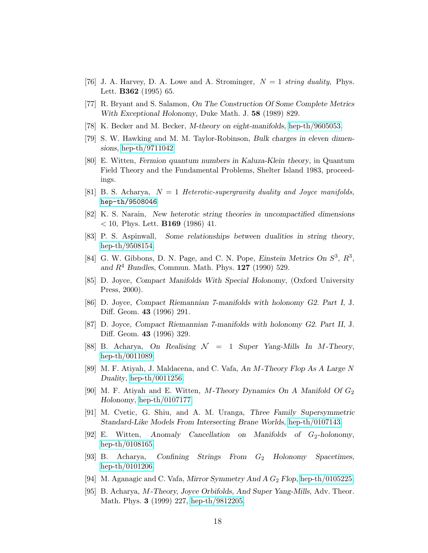- <span id="page-17-7"></span><span id="page-17-0"></span>[76] J. A. Harvey, D. A. Lowe and A. Strominger,  $N = 1$  string duality, Phys. Lett. B362 (1995) 65.
- <span id="page-17-8"></span>[77] R. Bryant and S. Salamon, On The Construction Of Some Complete Metrics With Exceptional Holonomy, Duke Math. J. 58 (1989) 829.
- <span id="page-17-9"></span>[78] K. Becker and M. Becker, *M-theory on eight-manifolds*, [hep-th/9605053.](http://arxiv.org/abs/hep-th/9605053)
- <span id="page-17-10"></span>[79] S. W. Hawking and M. M. Taylor-Robinson, Bulk charges in eleven dimensions, [hep-th/9711042](http://arxiv.org/abs/hep-th/9711042)
- [80] E. Witten, Fermion quantum numbers in Kaluza-Klein theory, in Quantum Field Theory and the Fundamental Problems, Shelter Island 1983, proceedings.
- <span id="page-17-19"></span><span id="page-17-1"></span>[81] B. S. Acharya,  $N = 1$  Heterotic-supergravity duality and Joyce manifolds, [hep-th/9508046](http://arxiv.org/abs/hep-th/9508046)
- <span id="page-17-2"></span>[82] K. S. Narain, New heterotic string theories in uncompactified dimensions  $<$  10, Phys. Lett. **B169** (1986) 41.
- [83] P. S. Aspinwall, Some relationships between dualities in string theory, [hep-th/9508154.](http://arxiv.org/abs/hep-th/9508154)
- <span id="page-17-6"></span>[84] G. W. Gibbons, D. N. Page, and C. N. Pope, Einstein Metrics On  $S^3$ ,  $R^3$ , and  $R^4$  Bundles, Commun. Math. Phys. 127 (1990) 529.
- <span id="page-17-4"></span><span id="page-17-3"></span>[85] D. Joyce, Compact Manifolds With Special Holonomy, (Oxford University Press, 2000).
- [86] D. Joyce, Compact Riemannian 7-manifolds with holonomy G2. Part I, J. Diff. Geom. 43 (1996) 291.
- <span id="page-17-5"></span>[87] D. Joyce, Compact Riemannian 7-manifolds with holonomy G2. Part II, J. Diff. Geom. 43 (1996) 329.
- <span id="page-17-11"></span>[88] B. Acharya, On Realising  $\mathcal{N} = 1$  Super Yang-Mills In M-Theory, [hep-th/0011089.](http://arxiv.org/abs/hep-th/0011089)
- <span id="page-17-12"></span>[89] M. F. Atiyah, J. Maldacena, and C. Vafa, An M-Theory Flop As A Large N Duality, [hep-th/0011256.](http://arxiv.org/abs/hep-th/0011256)
- <span id="page-17-13"></span>[90] M. F. Atiyah and E. Witten, M-Theory Dynamics On A Manifold Of  $G_2$ Holonomy, [hep-th/0107177.](http://arxiv.org/abs/hep-th/0107177)
- <span id="page-17-15"></span><span id="page-17-14"></span>[91] M. Cvetic, G. Shiu, and A. M. Uranga, Three Family Supersymmetric Standard-Like Models From Intersecting Brane Worlds, [hep-th/0107143.](http://arxiv.org/abs/hep-th/0107143)
- [92] E. Witten, Anomaly Cancellation on Manifolds of  $G_2$ -holonomy, [hep-th/0108165.](http://arxiv.org/abs/hep-th/0108165)
- <span id="page-17-16"></span>[93] B. Acharya, Confining Strings From G<sup>2</sup> Holonomy Spacetimes, [hep-th/0101206.](http://arxiv.org/abs/hep-th/0101206)
- <span id="page-17-18"></span><span id="page-17-17"></span>[94] M. Aganagic and C. Vafa, Mirror Symmetry And A  $G_2$  Flop, [hep-th/0105225.](http://arxiv.org/abs/hep-th/0105225)
- [95] B. Acharya, M-Theory, Joyce Orbifolds, And Super Yang-Mills, Adv. Theor. Math. Phys. 3 (1999) 227, [hep-th/9812205.](http://arxiv.org/abs/hep-th/9812205)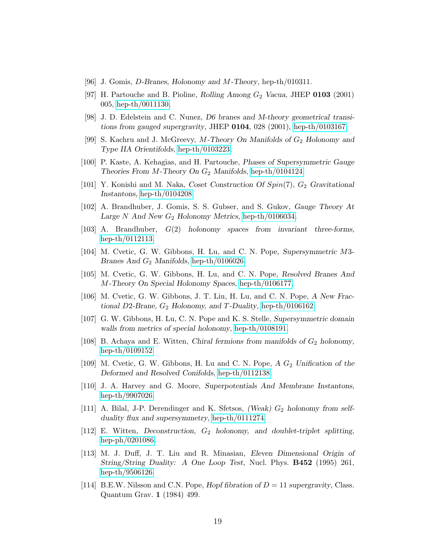- <span id="page-18-2"></span><span id="page-18-1"></span>[96] J. Gomis, D-Branes, Holonomy and M-Theory, hep-th/010311.
- <span id="page-18-3"></span>[97] H. Partouche and B. Pioline, Rolling Among  $G_2$  Vacua, JHEP 0103 (2001) 005, [hep-th/0011130.](http://arxiv.org/abs/hep-th/0011130)
- [98] J. D. Edelstein and C. Nunez, D6 branes and M-theory geometrical transitions from gauged supergravity, JHEP  $0104$ , 028 (2001), [hep-th/0103167](http://arxiv.org/abs/hep-th/0103167)
- <span id="page-18-4"></span>[99] S. Kachru and J. McGreevy, M-Theory On Manifolds of  $G_2$  Holonomy and Type IIA Orientifolds, [hep-th/0103223.](http://arxiv.org/abs/hep-th/0103223)
- <span id="page-18-6"></span><span id="page-18-5"></span>[100] P. Kaste, A. Kehagias, and H. Partouche, Phases of Supersymmetric Gauge Theories From M-Theory On  $G_2$  Manifolds, [hep-th/0104124.](http://arxiv.org/abs/hep-th/0104124)
- <span id="page-18-7"></span>[101] Y. Konishi and M. Naka, Coset Construction Of  $Spin(7)$ ,  $G_2$  Gravitational Instantons, [hep-th/0104208.](http://arxiv.org/abs/hep-th/0104208)
- [102] A. Brandhuber, J. Gomis, S. S. Gubser, and S. Gukov, Gauge Theory At Large N And New  $G_2$  Holonomy Metrics, [hep-th/0106034.](http://arxiv.org/abs/hep-th/0106034)
- <span id="page-18-9"></span><span id="page-18-8"></span>[103] A. Brandhuber, G(2) holonomy spaces from invariant three-forms, [hep-th/0112113.](http://arxiv.org/abs/hep-th/0112113)
- <span id="page-18-10"></span>[104] M. Cvetic, G. W. Gibbons, H. Lu, and C. N. Pope, Supersymmetric M3- Branes And  $G_2$  Manifolds, [hep-th/0106026.](http://arxiv.org/abs/hep-th/0106026)
- <span id="page-18-11"></span>[105] M. Cvetic, G. W. Gibbons, H. Lu, and C. N. Pope, Resolved Branes And M-Theory On Special Holonomy Spaces, [hep-th/0106177.](http://arxiv.org/abs/hep-th/0106177)
- [106] M. Cvetic, G. W. Gibbons, J. T. Liu, H. Lu, and C. N. Pope, A New Fractional D2-Brane,  $G_2$  Holonomy, and T-Duality, [hep-th/0106162.](http://arxiv.org/abs/hep-th/0106162)
- <span id="page-18-12"></span>[107] G. W. Gibbons, H. Lu, C. N. Pope and K. S. Stelle, Supersymmetric domain walls from metrics of special holonomy, [hep-th/0108191.](http://arxiv.org/abs/hep-th/0108191)
- <span id="page-18-14"></span><span id="page-18-13"></span>[108] B. Achaya and E. Witten, Chiral fermions from manifolds of  $G_2$  holonomy, [hep-th/0109152](http://arxiv.org/abs/hep-th/0109152)
- <span id="page-18-15"></span>[109] M. Cvetic, G. W. Gibbons, H. Lu and C. N. Pope,  $A G_2$  Unification of the Deformed and Resolved Conifolds, [hep-th/0112138.](http://arxiv.org/abs/hep-th/0112138)
- [110] J. A. Harvey and G. Moore, Superpotentials And Membrane Instantons, [hep-th/9907026.](http://arxiv.org/abs/hep-th/9907026)
- <span id="page-18-16"></span>[111] A. Bilal, J-P. Derendinger and K. Sfetsos, (Weak)  $G_2$  holonomy from selfduality flux and supersymmetry, [hep-th/0111274.](http://arxiv.org/abs/hep-th/0111274)
- <span id="page-18-17"></span>[112] E. Witten, Deconstruction,  $G_2$  holonomy, and doublet-triplet splitting, [hep-ph/0201086.](http://arxiv.org/abs/hep-ph/0201086)
- <span id="page-18-18"></span>[113] M. J. Duff, J. T. Liu and R. Minasian, Eleven Dimensional Origin of String/String Duality: A One Loop Test, Nucl. Phys. **B452** (1995) 261, [hep-th/9506126.](http://arxiv.org/abs/hep-th/9506126)
- <span id="page-18-0"></span>[114] B.E.W. Nilsson and C.N. Pope, Hopf fibration of  $D = 11$  supergravity, Class. Quantum Grav. 1 (1984) 499.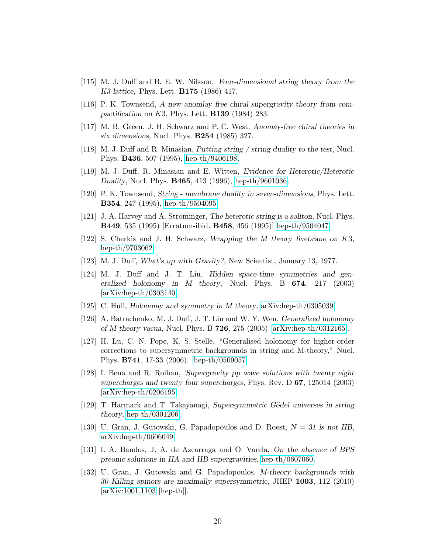- <span id="page-19-2"></span><span id="page-19-0"></span>[115] M. J. Duff and B. E. W. Nilsson, Four-dimensional string theory from the K3 lattice, Phys. Lett. B175 (1986) 417.
- <span id="page-19-1"></span>[116] P. K. Townsend, A new anomlay free chiral supergravity theory from compactification on  $K3$ , Phys. Lett. **B139** (1984) 283.
- [117] M. B. Green, J. H. Schwarz and P. C. West, Anomay-free chiral theories in six dimensions, Nucl. Phys. B254 (1985) 327.
- <span id="page-19-7"></span><span id="page-19-6"></span>[118] M. J. Duff and R. Minasian, Putting string / string duality to the test, Nucl. Phys. B436, 507 (1995), [hep-th/9406198.](http://arxiv.org/abs/hep-th/9406198)
- <span id="page-19-3"></span>[119] M. J. Duff, R. Minasian and E. Witten, Evidence for Heterotic/Heterotic Duality, Nucl. Phys. B465, 413 (1996), [hep-th/9601036.](http://arxiv.org/abs/hep-th/9601036)
- <span id="page-19-4"></span>[120] P. K. Townsend, String - membrane duality in seven-dimensions, Phys. Lett. B354, 247 (1995), [hep-th/9504095.](http://arxiv.org/abs/hep-th/9504095)
- <span id="page-19-5"></span>[121] J. A. Harvey and A. Strominger, The heterotic string is a soliton, Nucl. Phys. B449, 535 (1995) [Erratum-ibid. B458, 456 (1995)] [hep-th/9504047.](http://arxiv.org/abs/hep-th/9504047)
- [122] S. Cherkis and J. H. Schwarz, Wrapping the M theory fivebrane on K3, [hep-th/9703062.](http://arxiv.org/abs/hep-th/9703062)
- <span id="page-19-9"></span><span id="page-19-8"></span>[123] M. J. Duff, What's up with Gravity?, New Scientist, January 13, 1977.
- [124] M. J. Duff and J. T. Liu, Hidden space-time symmetries and generalized holonomy in M theory, Nucl. Phys. B 674, 217 (2003) [\[arXiv:hep-th/0303140\]](http://arxiv.org/abs/hep-th/0303140).
- <span id="page-19-11"></span><span id="page-19-10"></span>[125] C. Hull, Holonomy and symmetry in M theory, [arXiv:hep-th/0305039.](http://arxiv.org/abs/hep-th/0305039)
- [126] A. Batrachenko, M. J. Duff, J. T. Liu and W. Y. Wen, Generalized holonomy of M theory vacua, Nucl. Phys. B  $726$ ,  $275$   $(2005)$  [\[arXiv:hep-th/0312165\]](http://arxiv.org/abs/hep-th/0312165).
- <span id="page-19-12"></span>[127] H. Lu, C. N. Pope, K. S. Stelle, "Generalised holonomy for higher-order corrections to supersymmetric backgrounds in string and M-theory," Nucl. Phys. B741, 17-33 (2006). [\[hep-th/0509057\]](http://arxiv.org/abs/hep-th/0509057).
- <span id="page-19-17"></span>[128] I. Bena and R. Roiban, 'Supergravity pp wave solutions with twenty eight supercharges and twenty four supercharges, Phys. Rev. D 67, 125014 (2003) [\[arXiv:hep-th/0206195\]](http://arxiv.org/abs/hep-th/0206195).
- <span id="page-19-13"></span>[129] T. Harmark and T. Takayanagi, Supersymmetric Gödel universes in string theory, [hep-th/0301206.](http://arxiv.org/abs/hep-th/0301206)
- <span id="page-19-14"></span>[130] U. Gran, J. Gutowski, G. Papadopoulos and D. Roest,  $N = 31$  is not IIB, [arXiv:hep-th/0606049.](http://arxiv.org/abs/hep-th/0606049)
- <span id="page-19-15"></span>[131] I. A. Bandos, J. A. de Azcarraga and O. Varela, On the absence of BPS preonic solutions in IIA and IIB supergravities, [hep-th/0607060.](http://arxiv.org/abs/hep-th/0607060)
- <span id="page-19-16"></span>[132] U. Gran, J. Gutowski and G. Papadopoulos, M-theory backgrounds with 30 Killing spinors are maximally supersymmetric, JHEP 1003, 112 (2010) [\[arXiv:1001.1103](http://arxiv.org/abs/1001.1103) [hep-th]].